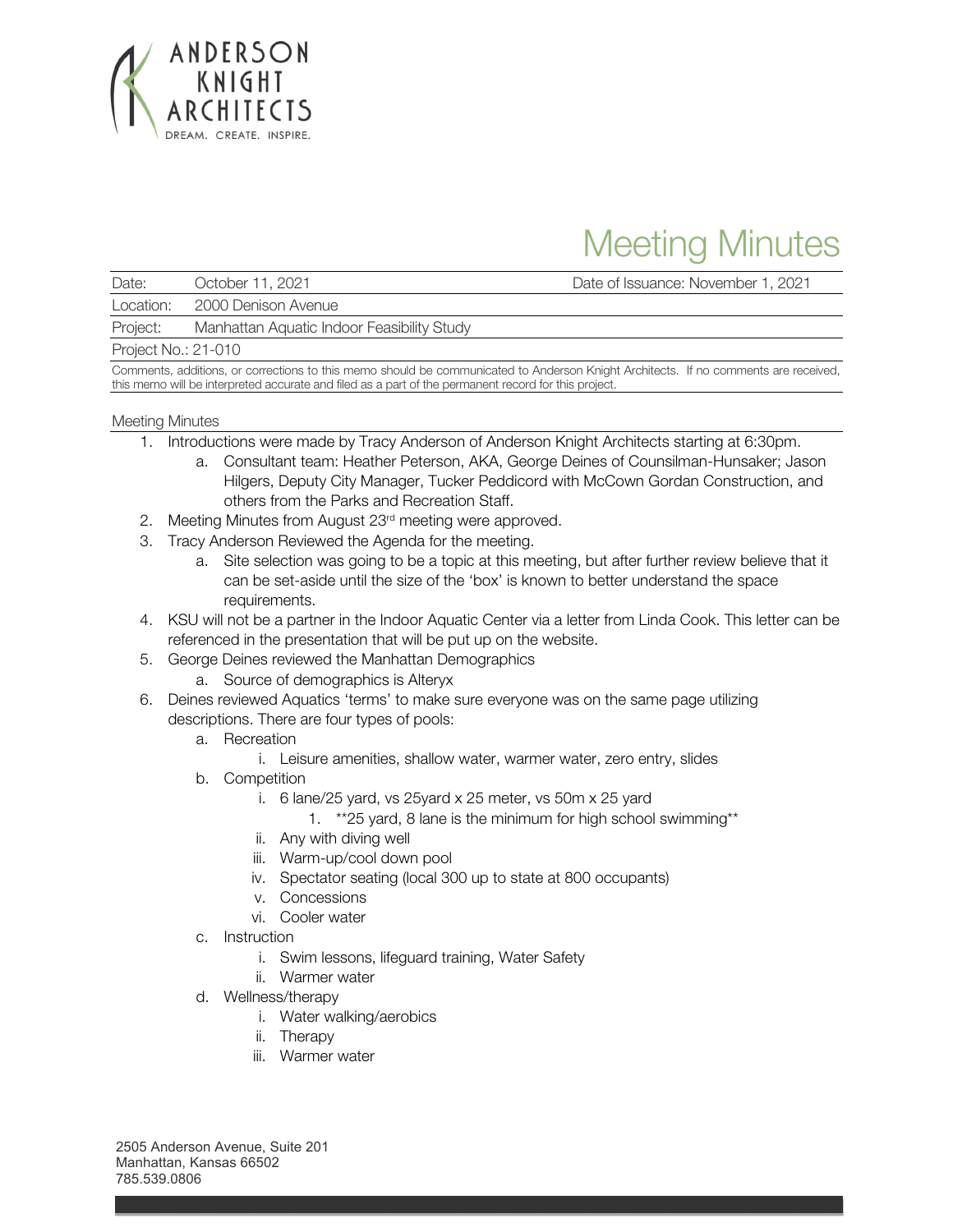

# Meeting Minutes

Date: October 11, 2021 Date of Issuance: November 1, 2021

Location: 2000 Denison Avenue

Project: Manhattan Aquatic Indoor Feasibility Study

Project No.: 21-010

Comments, additions, or corrections to this memo should be communicated to Anderson Knight Architects. If no comments are received, this memo will be interpreted accurate and filed as a part of the permanent record for this project.

### Meeting Minutes

- 1. Introductions were made by Tracy Anderson of Anderson Knight Architects starting at 6:30pm.
	- a. Consultant team: Heather Peterson, AKA, George Deines of Counsilman-Hunsaker; Jason Hilgers, Deputy City Manager, Tucker Peddicord with McCown Gordan Construction, and others from the Parks and Recreation Staff.
- 2. Meeting Minutes from August 23<sup>rd</sup> meeting were approved.
- 3. Tracy Anderson Reviewed the Agenda for the meeting.
	- a. Site selection was going to be a topic at this meeting, but after further review believe that it can be set-aside until the size of the 'box' is known to better understand the space requirements.
- 4. KSU will not be a partner in the Indoor Aquatic Center via a letter from Linda Cook. This letter can be referenced in the presentation that will be put up on the website.
- 5. George Deines reviewed the Manhattan Demographics
	- a. Source of demographics is Alteryx
- 6. Deines reviewed Aquatics 'terms' to make sure everyone was on the same page utilizing descriptions. There are four types of pools:
	- a. Recreation
		- i. Leisure amenities, shallow water, warmer water, zero entry, slides
	- b. Competition
		- i. 6 lane/25 yard, vs 25yard x 25 meter, vs 50m x 25 yard
			- 1. \*\*25 yard, 8 lane is the minimum for high school swimming\*\*
		- ii. Any with diving well
		- iii. Warm-up/cool down pool
		- iv. Spectator seating (local 300 up to state at 800 occupants)
		- v. Concessions
		- vi. Cooler water
	- c. Instruction
		- i. Swim lessons, lifeguard training, Water Safety
		- ii. Warmer water
	- d. Wellness/therapy
		- i. Water walking/aerobics
		- ii. Therapy
		- iii. Warmer water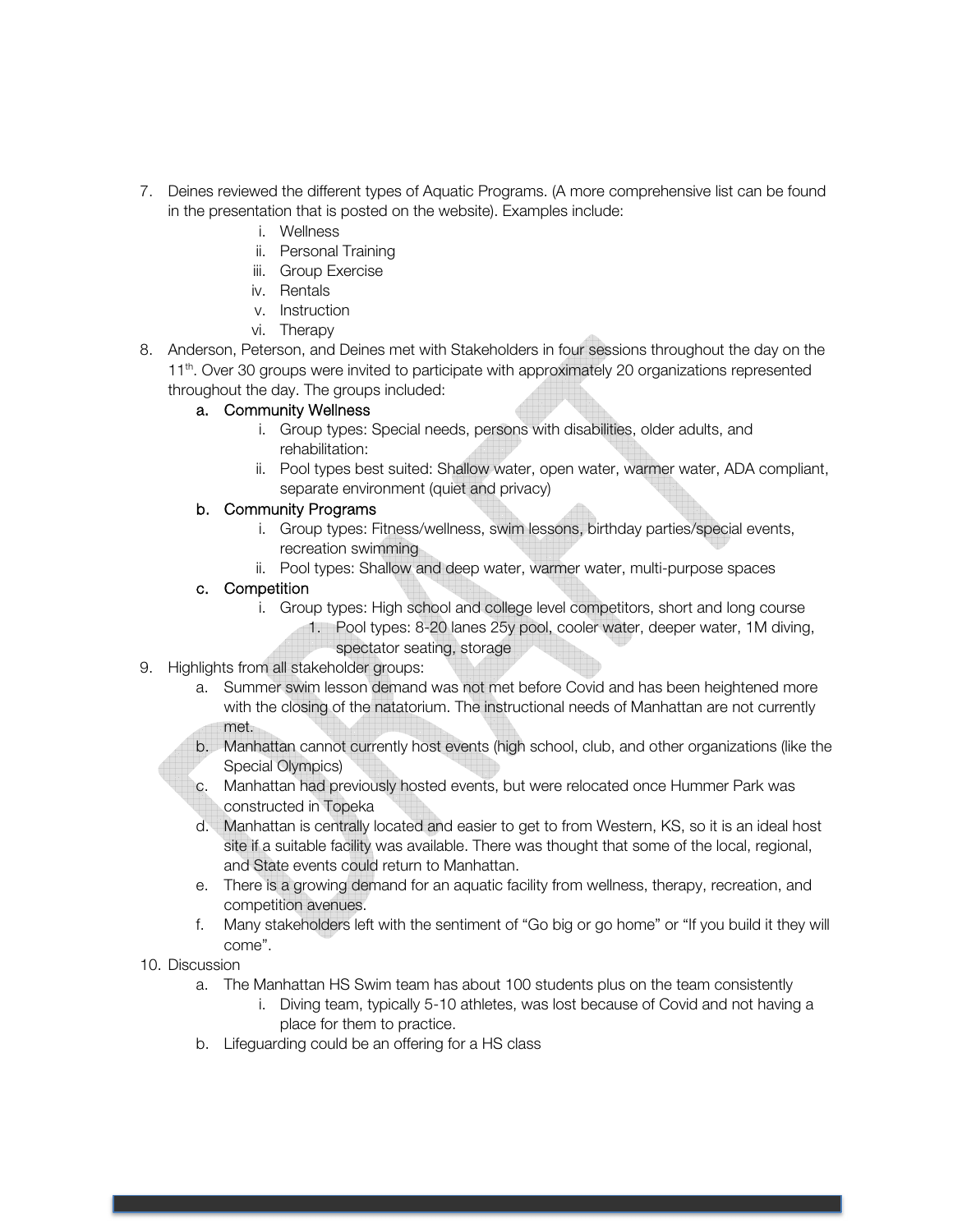- 7. Deines reviewed the different types of Aquatic Programs. (A more comprehensive list can be found in the presentation that is posted on the website). Examples include:
	- i. Wellness
	- ii. Personal Training
	- iii. Group Exercise
	- iv. Rentals
	- v. Instruction
	- vi. Therapy
- 8. Anderson, Peterson, and Deines met with Stakeholders in four sessions throughout the day on the 11<sup>th</sup>. Over 30 groups were invited to participate with approximately 20 organizations represented throughout the day. The groups included:

## a. Community Wellness

- i. Group types: Special needs, persons with disabilities, older adults, and rehabilitation:
- ii. Pool types best suited: Shallow water, open water, warmer water, ADA compliant, separate environment (quiet and privacy)

## b. Community Programs

- i. Group types: Fitness/wellness, swim lessons, birthday parties/special events, recreation swimming
- ii. Pool types: Shallow and deep water, warmer water, multi-purpose spaces

## c. Competition

- i. Group types: High school and college level competitors, short and long course 1. Pool types: 8-20 lanes 25y pool, cooler water, deeper water, 1M diving, spectator seating, storage
- 9. Highlights from all stakeholder groups:
	- a. Summer swim lesson demand was not met before Covid and has been heightened more with the closing of the natatorium. The instructional needs of Manhattan are not currently met.
	- b. Manhattan cannot currently host events (high school, club, and other organizations (like the Special Olympics)
	- c. Manhattan had previously hosted events, but were relocated once Hummer Park was constructed in Topeka
	- d. Manhattan is centrally located and easier to get to from Western, KS, so it is an ideal host site if a suitable facility was available. There was thought that some of the local, regional, and State events could return to Manhattan.
	- e. There is a growing demand for an aquatic facility from wellness, therapy, recreation, and competition avenues.
	- f. Many stakeholders left with the sentiment of "Go big or go home" or "If you build it they will come".
- 10. Discussion
	- a. The Manhattan HS Swim team has about 100 students plus on the team consistently
		- i. Diving team, typically 5-10 athletes, was lost because of Covid and not having a place for them to practice.
	- b. Lifeguarding could be an offering for a HS class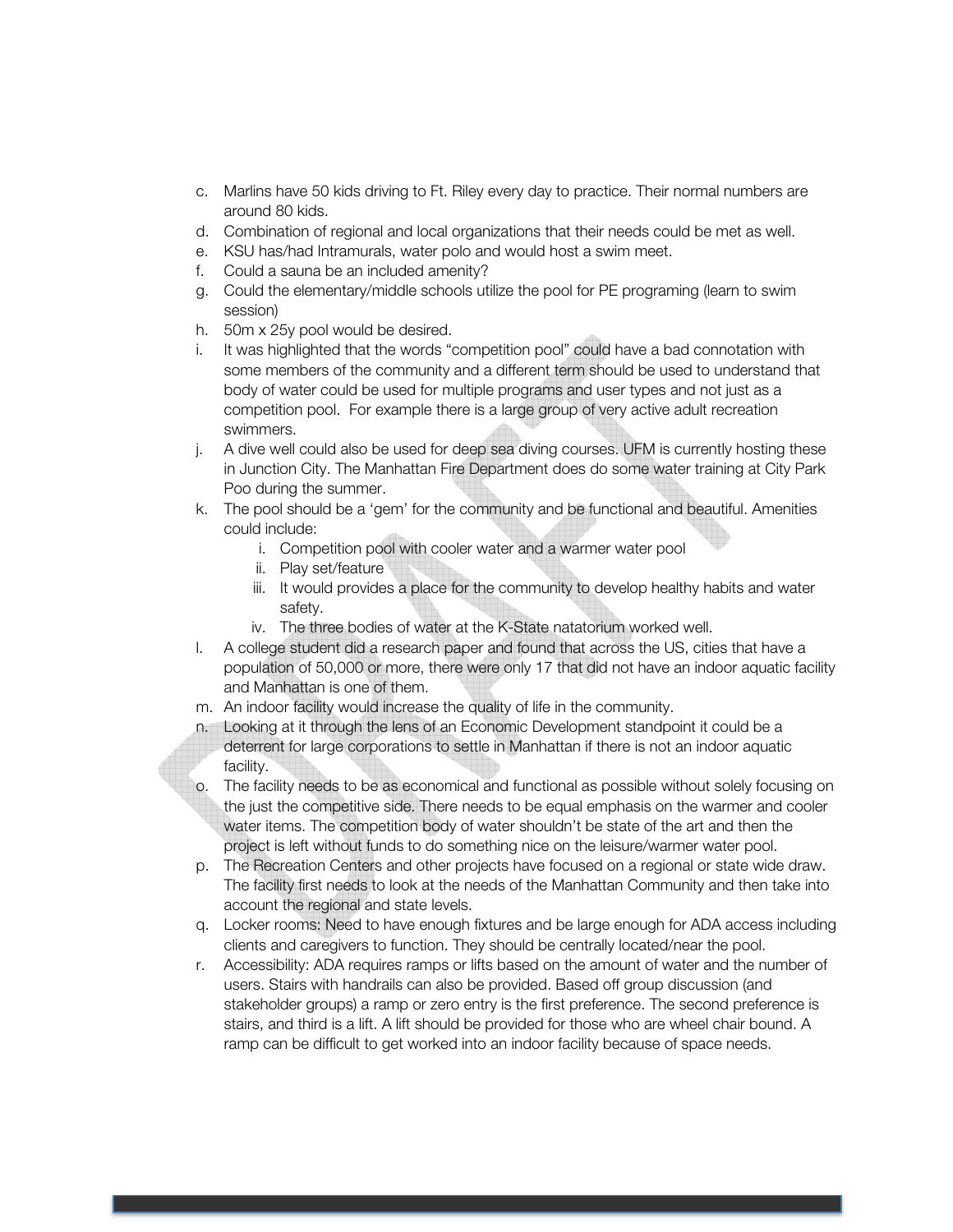- c. Marlins have 50 kids driving to Ft. Riley every day to practice. Their normal numbers are around 80 kids.
- d. Combination of regional and local organizations that their needs could be met as well.
- e. KSU has/had Intramurals, water polo and would host a swim meet.
- f. Could a sauna be an included amenity?
- g. Could the elementary/middle schools utilize the pool for PE programing (learn to swim session)
- h. 50m x 25y pool would be desired.
- i. It was highlighted that the words "competition pool" could have a bad connotation with some members of the community and a different term should be used to understand that body of water could be used for multiple programs and user types and not just as a competition pool. For example there is a large group of very active adult recreation swimmers.
- j. A dive well could also be used for deep sea diving courses. UFM is currently hosting these in Junction City. The Manhattan Fire Department does do some water training at City Park Poo during the summer.
- k. The pool should be a 'gem' for the community and be functional and beautiful. Amenities could include:
	- i. Competition pool with cooler water and a warmer water pool
	- ii. Play set/feature
	- iii. It would provides a place for the community to develop healthy habits and water safety.
	- iv. The three bodies of water at the K-State natatorium worked well.
- l. A college student did a research paper and found that across the US, cities that have a population of 50,000 or more, there were only 17 that did not have an indoor aquatic facility and Manhattan is one of them.
- m. An indoor facility would increase the quality of life in the community.
- n. Looking at it through the lens of an Economic Development standpoint it could be a deterrent for large corporations to settle in Manhattan if there is not an indoor aquatic facility.
- o. The facility needs to be as economical and functional as possible without solely focusing on the just the competitive side. There needs to be equal emphasis on the warmer and cooler water items. The competition body of water shouldn't be state of the art and then the project is left without funds to do something nice on the leisure/warmer water pool.
- p. The Recreation Centers and other projects have focused on a regional or state wide draw. The facility first needs to look at the needs of the Manhattan Community and then take into account the regional and state levels.
- q. Locker rooms: Need to have enough fixtures and be large enough for ADA access including clients and caregivers to function. They should be centrally located/near the pool.
- r. Accessibility: ADA requires ramps or lifts based on the amount of water and the number of users. Stairs with handrails can also be provided. Based off group discussion (and stakeholder groups) a ramp or zero entry is the first preference. The second preference is stairs, and third is a lift. A lift should be provided for those who are wheel chair bound. A ramp can be difficult to get worked into an indoor facility because of space needs.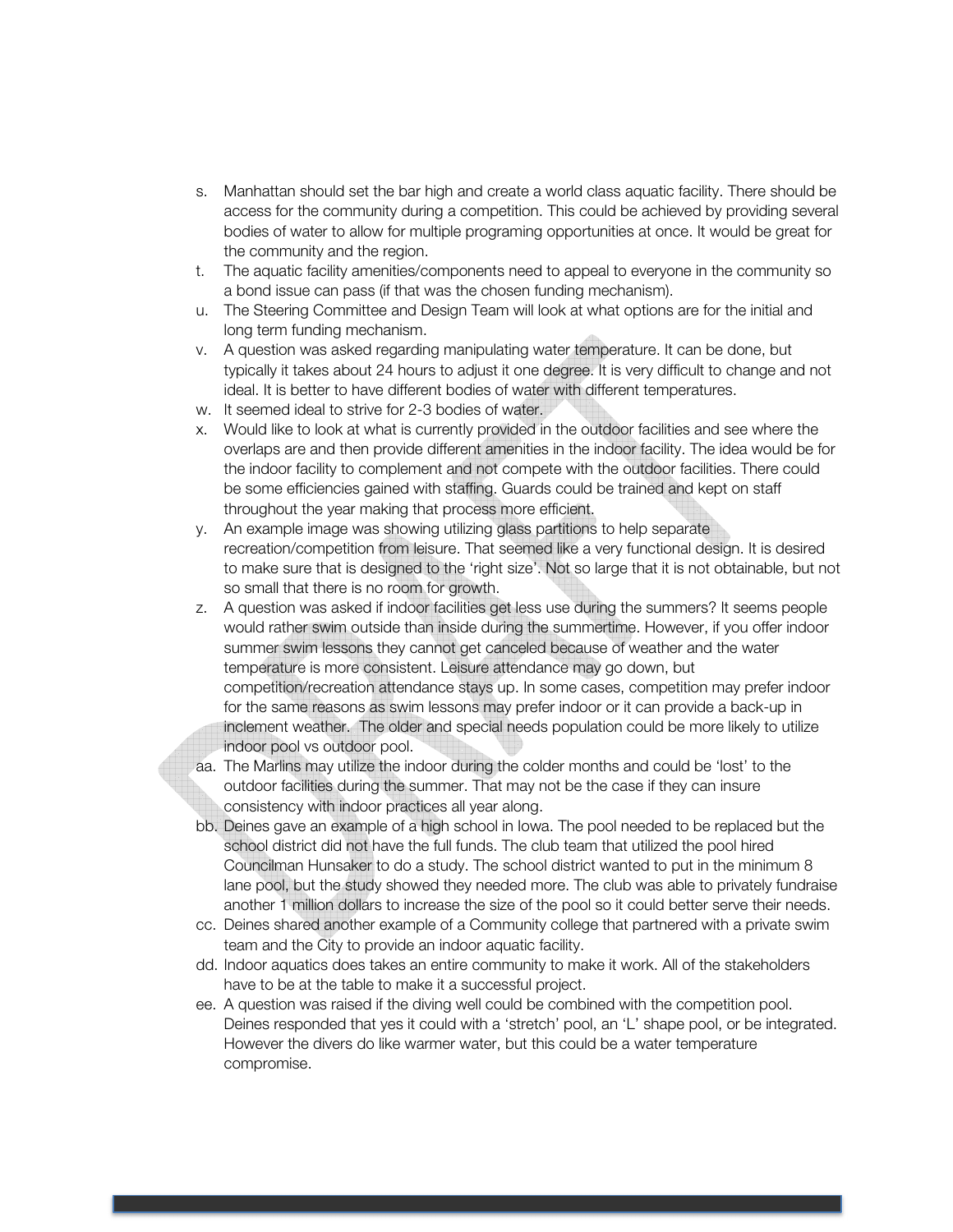- s. Manhattan should set the bar high and create a world class aquatic facility. There should be access for the community during a competition. This could be achieved by providing several bodies of water to allow for multiple programing opportunities at once. It would be great for the community and the region.
- t. The aquatic facility amenities/components need to appeal to everyone in the community so a bond issue can pass (if that was the chosen funding mechanism).
- u. The Steering Committee and Design Team will look at what options are for the initial and long term funding mechanism.
- v. A question was asked regarding manipulating water temperature. It can be done, but typically it takes about 24 hours to adjust it one degree. It is very difficult to change and not ideal. It is better to have different bodies of water with different temperatures.
- w. It seemed ideal to strive for 2-3 bodies of water.
- x. Would like to look at what is currently provided in the outdoor facilities and see where the overlaps are and then provide different amenities in the indoor facility. The idea would be for the indoor facility to complement and not compete with the outdoor facilities. There could be some efficiencies gained with staffing. Guards could be trained and kept on staff throughout the year making that process more efficient.
- y. An example image was showing utilizing glass partitions to help separate recreation/competition from leisure. That seemed like a very functional design. It is desired to make sure that is designed to the 'right size'. Not so large that it is not obtainable, but not so small that there is no room for growth.
- z. A question was asked if indoor facilities get less use during the summers? It seems people would rather swim outside than inside during the summertime. However, if you offer indoor summer swim lessons they cannot get canceled because of weather and the water temperature is more consistent. Leisure attendance may go down, but competition/recreation attendance stays up. In some cases, competition may prefer indoor for the same reasons as swim lessons may prefer indoor or it can provide a back-up in inclement weather. The older and special needs population could be more likely to utilize indoor pool vs outdoor pool.
- aa. The Marlins may utilize the indoor during the colder months and could be 'lost' to the outdoor facilities during the summer. That may not be the case if they can insure consistency with indoor practices all year along.
- bb. Deines gave an example of a high school in Iowa. The pool needed to be replaced but the school district did not have the full funds. The club team that utilized the pool hired Councilman Hunsaker to do a study. The school district wanted to put in the minimum 8 lane pool, but the study showed they needed more. The club was able to privately fundraise another 1 million dollars to increase the size of the pool so it could better serve their needs.
- cc. Deines shared another example of a Community college that partnered with a private swim team and the City to provide an indoor aquatic facility.
- dd. Indoor aquatics does takes an entire community to make it work. All of the stakeholders have to be at the table to make it a successful project.
- ee. A question was raised if the diving well could be combined with the competition pool. Deines responded that yes it could with a 'stretch' pool, an 'L' shape pool, or be integrated. However the divers do like warmer water, but this could be a water temperature compromise.